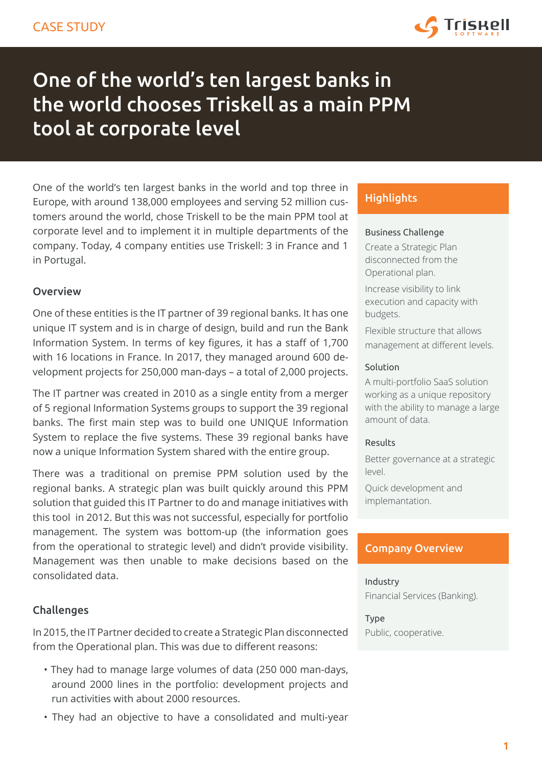

# One of the world's ten largest banks in the world chooses Triskell as a main PPM tool at corporate level

One of the world's ten largest banks in the world and top three in Europe, with around 138,000 employees and serving 52 million customers around the world, chose Triskell to be the main PPM tool at corporate level and to implement it in multiple departments of the company. Today, 4 company entities use Triskell: 3 in France and 1 in Portugal.

## **Overview**

One of these entities is the IT partner of 39 regional banks. It has one unique IT system and is in charge of design, build and run the Bank Information System. In terms of key figures, it has a staff of 1,700 with 16 locations in France. In 2017, they managed around 600 development projects for 250,000 man-days – a total of 2,000 projects.

The IT partner was created in 2010 as a single entity from a merger of 5 regional Information Systems groups to support the 39 regional banks. The first main step was to build one UNIQUE Information System to replace the five systems. These 39 regional banks have now a unique Information System shared with the entire group.

There was a traditional on premise PPM solution used by the regional banks. A strategic plan was built quickly around this PPM solution that guided this IT Partner to do and manage initiatives with this tool in 2012. But this was not successful, especially for portfolio management. The system was bottom-up (the information goes from the operational to strategic level) and didn't provide visibility. Management was then unable to make decisions based on the consolidated data.

## Challenges

In 2015, the IT Partner decided to create a Strategic Plan disconnected from the Operational plan. This was due to different reasons:

- They had to manage large volumes of data (250 000 man-days, around 2000 lines in the portfolio: development projects and run activities with about 2000 resources.
- They had an objective to have a consolidated and multi-year

# **Highlights**

#### Business Challenge

Create a Strategic Plan disconnected from the Operational plan.

Increase visibility to link execution and capacity with budgets.

Flexible structure that allows management at different levels.

#### Solution

A multi-portfolio SaaS solution working as a unique repository with the ability to manage a large amount of data.

### Results

Better governance at a strategic level.

Quick development and implemantation.

## Company Overview

## Industry Financial Services (Banking).

Type Public, cooperative.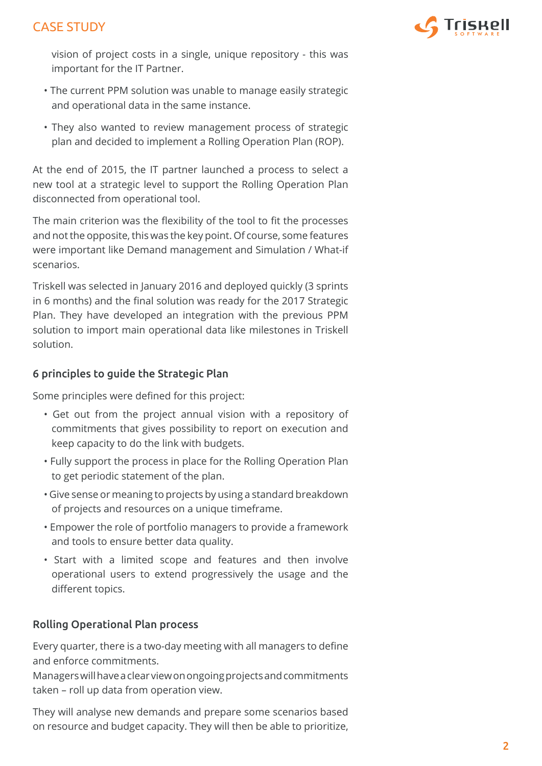# CASE STUDY



vision of project costs in a single, unique repository - this was important for the IT Partner.

- The current PPM solution was unable to manage easily strategic and operational data in the same instance.
- They also wanted to review management process of strategic plan and decided to implement a Rolling Operation Plan (ROP).

At the end of 2015, the IT partner launched a process to select a new tool at a strategic level to support the Rolling Operation Plan disconnected from operational tool.

The main criterion was the flexibility of the tool to fit the processes and not the opposite, this was the key point. Of course, some features were important like Demand management and Simulation / What-if scenarios.

Triskell was selected in January 2016 and deployed quickly (3 sprints in 6 months) and the final solution was ready for the 2017 Strategic Plan. They have developed an integration with the previous PPM solution to import main operational data like milestones in Triskell solution.

## 6 principles to guide the Strategic Plan

Some principles were defined for this project:

- Get out from the project annual vision with a repository of commitments that gives possibility to report on execution and keep capacity to do the link with budgets.
- Fully support the process in place for the Rolling Operation Plan to get periodic statement of the plan.
- Give sense or meaning to projects by using a standard breakdown of projects and resources on a unique timeframe.
- Empower the role of portfolio managers to provide a framework and tools to ensure better data quality.
- Start with a limited scope and features and then involve operational users to extend progressively the usage and the different topics.

## Rolling Operational Plan process

Every quarter, there is a two-day meeting with all managers to define and enforce commitments.

Managers will have a clear view on ongoing projects and commitments taken – roll up data from operation view.

They will analyse new demands and prepare some scenarios based on resource and budget capacity. They will then be able to prioritize,